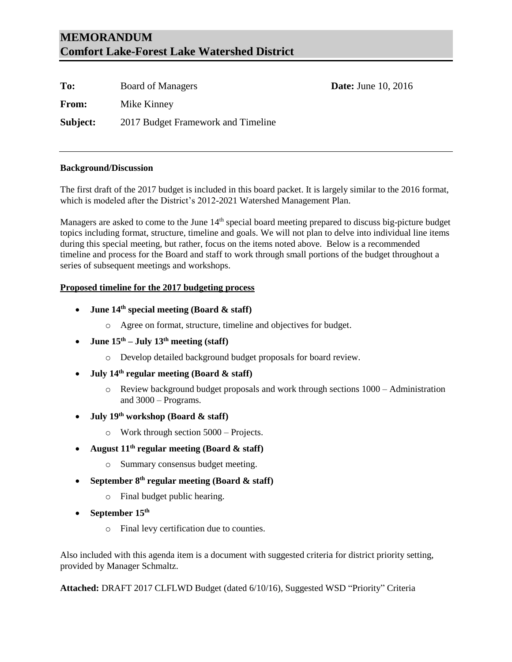### **MEMORANDUM Comfort Lake-Forest Lake Watershed District**

| To:          | <b>Board of Managers</b>           | <b>Date:</b> June 10, 2016 |
|--------------|------------------------------------|----------------------------|
| <b>From:</b> | Mike Kinney                        |                            |
| Subject:     | 2017 Budget Framework and Timeline |                            |

#### **Background/Discussion**

The first draft of the 2017 budget is included in this board packet. It is largely similar to the 2016 format, which is modeled after the District's 2012-2021 Watershed Management Plan.

Managers are asked to come to the June 14<sup>th</sup> special board meeting prepared to discuss big-picture budget topics including format, structure, timeline and goals. We will not plan to delve into individual line items during this special meeting, but rather, focus on the items noted above. Below is a recommended timeline and process for the Board and staff to work through small portions of the budget throughout a series of subsequent meetings and workshops.

#### **Proposed timeline for the 2017 budgeting process**

- **June 14th special meeting (Board & staff)**
	- o Agree on format, structure, timeline and objectives for budget.
- **June**  $15^{th}$  **July**  $13^{th}$  **meeting (staff)** 
	- o Develop detailed background budget proposals for board review.
- **July 14th regular meeting (Board & staff)**
	- o Review background budget proposals and work through sections 1000 Administration and 3000 – Programs.
- **July 19th workshop (Board & staff)**
	- o Work through section 5000 Projects.
- **August 11th regular meeting (Board & staff)**
	- o Summary consensus budget meeting.
- **September 8th regular meeting (Board & staff)**
	- o Final budget public hearing.
- **September 15th**
	- o Final levy certification due to counties.

Also included with this agenda item is a document with suggested criteria for district priority setting, provided by Manager Schmaltz.

**Attached:** DRAFT 2017 CLFLWD Budget (dated 6/10/16), Suggested WSD "Priority" Criteria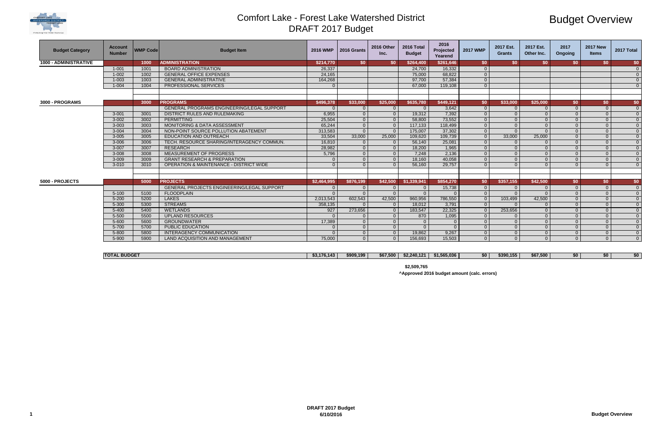

# Budget Overview

| 155<br>t20n<br>æ.<br>ч. | .500<br>.567 | æи | \$0 | .60 |
|-------------------------|--------------|----|-----|-----|

| <b>Budget Category</b>       | <b>Account</b><br><b>Number</b> | <b>WMP Code</b> | <b>Budget Item</b>                                 | <b>2016 WMP</b> | 2016 Grants          | 2016 Other<br>Inc.   | 2016 Total<br><b>Budget</b> | 2016<br>Projected<br>Yearend | <b>2017 WMP</b>      | 2017 Est.<br><b>Grants</b> | 2017 Est.<br>Other Inc. | 2017<br>Ongoing | <b>2017 New</b><br><b>Items</b> | 2017 Total                       |  |
|------------------------------|---------------------------------|-----------------|----------------------------------------------------|-----------------|----------------------|----------------------|-----------------------------|------------------------------|----------------------|----------------------------|-------------------------|-----------------|---------------------------------|----------------------------------|--|
| <b>1000 - ADMINISTRATIVE</b> |                                 | 1000            | <b>ADMINISTRATION</b>                              | \$214,770       | \$0                  | <b>SO</b>            | \$264,400                   | \$261,646                    | SO.                  | SO.                        | SO.                     | SO.             | \$0                             | \$0 <sub>0</sub>                 |  |
|                              | $1 - 001$                       | 1001            | <b>BOARD ADMINISTRATION</b>                        | 26,337          |                      |                      | 24,700                      | 16,332                       |                      |                            |                         |                 |                                 | $\overline{0}$                   |  |
|                              | $1 - 002$                       | 1002            | <b>GENERAL OFFICE EXPENSES</b>                     | 24,165          |                      |                      | 75,000                      | 68,822                       | $\Omega$             |                            |                         |                 |                                 | $\overline{0}$                   |  |
|                              | $1 - 003$                       | 1003            | <b>GENERAL ADMINISTRATIVE</b>                      | 164,268         |                      |                      | 97.700                      | 57,384                       | $\Omega$             |                            |                         |                 |                                 | $\overline{0}$                   |  |
|                              | $1 - 004$                       | 1004            | PROFESSIONAL SERVICES                              |                 |                      |                      | 67,000                      | 119,108                      | $\Omega$             |                            |                         |                 |                                 | $\Omega$                         |  |
| 3000 - PROGRAMS              |                                 | 3000            | <b>PROGRAMS</b>                                    | \$496,378       | \$33,000             | \$25,000             | \$635,780                   | \$449,121                    | \$0                  | \$33,000                   | \$25,000                | \$0             | \$0                             | \$0 <sub>0</sub>                 |  |
|                              |                                 |                 | <b>GENERAL PROGRAMS ENGINEERING/LEGAL SUPPORT</b>  |                 | $\Omega$             | $\Omega$             |                             | 3,642                        | $\Omega$             |                            |                         |                 | $\Omega$                        | $\overline{0}$                   |  |
|                              | $3 - 001$                       | 3001            | DISTRICT RULES AND RULEMAKING                      | 6,955           | $\Omega$             | $\overline{0}$       | 19,312                      | 7,392                        | $\Omega$             |                            | $\Omega$                |                 | $\Omega$                        | $\overline{0}$                   |  |
|                              | $3 - 002$                       | 3002            | <b>PERMITTING</b>                                  | 25,504          | $\Omega$             | $\overline{0}$       | 58,800                      | 73,552                       | $\Omega$             |                            | $\Omega$                |                 | $\Omega$                        | $\overline{0}$                   |  |
|                              | $3 - 003$                       | 3003            | <b>MONITORING &amp; DATA ASSESSMENT</b>            | 65,244          | $\Omega$             | $\overline{0}$       | 117,133                     | 118,499                      | $\Omega$             |                            | $\Omega$                |                 | $\Omega$                        | $\Omega$                         |  |
|                              | $3 - 004$                       | 3004            | NON-POINT SOURCE POLLUTION ABATEMENT               | 313,583         | $\Omega$             | $\overline{0}$       | 175,007                     | 37,302                       |                      |                            | $\Omega$                |                 | $\Omega$                        | $\Omega$                         |  |
|                              | $3 - 005$                       | 3005            | <b>EDUCATION AND OUTREACH</b>                      | 33,504          | 33,000               | 25,000               | 109,620                     | 109,739                      |                      | 33,000                     | 25,000                  |                 | $\Omega$                        | $\Omega$                         |  |
|                              | $3 - 006$                       | 3006            | TECH. RESOURCE SHARING/INTERAGENCY COMMUN.         | 16,810          | $\Omega$             | $\overline{0}$       | 56,140                      | 25,081                       |                      |                            |                         |                 | $\Omega$                        | $\Omega$                         |  |
|                              | $3 - 007$                       | 3007            | <b>RESEARCH</b>                                    | 28,982          | $\Omega$             | $\overline{0}$       | 18,200                      | 1,965                        | $\Omega$             | $\Omega$                   | $\Omega$                |                 | $\Omega$                        | $\Omega$                         |  |
|                              | $3 - 008$                       | 3008            | <b>MEASUREMENT OF PROGRESS</b>                     | 5,796           | $\Omega$             | $\overline{0}$       | 7,248                       | 2,136                        | $\Omega$             | $\Omega$                   | $\Omega$                |                 | $\Omega$                        | $\Omega$                         |  |
|                              | $3 - 009$                       | 3009            | <b>GRANT RESEARCH &amp; PREPARATION</b>            | - വ             | $\Omega$             | $\overline{0}$       | 18,160                      | 40,058                       | $\Omega$             |                            | $\Omega$                |                 | $\Omega$                        | $\overline{\mathbf{0}}$          |  |
|                              | $3 - 010$                       | 3010            | <b>OPERATION &amp; MAINTENANCE - DISTRICT WIDE</b> | $\Omega$        | $\Omega$             | $\Omega$             | 56,160                      | 29,757                       |                      |                            | $\Omega$                |                 | $\Omega$                        | $\Omega$                         |  |
|                              |                                 |                 |                                                    |                 |                      |                      |                             |                              |                      |                            |                         |                 |                                 |                                  |  |
| 5000 - PROJECTS              |                                 | 5000            | <b>PROJECTS</b>                                    | \$2,464,995     | \$876,199            | \$42,500             | \$1,339,941                 | \$854,270                    | \$0                  | \$357,155                  | \$42,500                | \$0             | \$0                             | \$0 <sub>0</sub>                 |  |
|                              |                                 |                 | <b>GENERAL PROJECTS ENGINEERING/LEGAL SUPPORT</b>  | $\Omega$        | $\Omega$<br>$\Omega$ | $\Omega$<br>$\Omega$ |                             | 15,738                       |                      |                            |                         | $\Omega$        | $\Omega$                        | $\Omega$                         |  |
|                              | $5 - 100$<br>$5 - 200$          | 5100<br>5200    | <b>FLOODPLAIN</b><br><b>LAKES</b>                  | 2.013.543       | 602.543              | 42.500               | 960.956                     | 786.550                      | $\Omega$<br>$\Omega$ | 103.499                    | $\Omega$<br>42.500      | $\Omega$        | $\Omega$<br>$\Omega$            | $\overline{\mathbf{0}}$          |  |
|                              | $5 - 300$                       | 5300            | <b>STREAMS</b>                                     | 358,135         |                      | $\Omega$             | 18,012                      | 3,791                        | $\Omega$             |                            | $\Omega$                |                 | $\Omega$                        | $\overline{0}$<br>$\overline{0}$ |  |
|                              | $5 - 400$                       | 5400            | <b>WETLANDS</b>                                    | 927             | 273,656              | $\overline{0}$       | 183,547                     | 22,325                       |                      | 253,656                    | $\Omega$                |                 | $\Omega$                        | $\overline{0}$                   |  |
|                              | $5 - 500$                       | 5500            | <b>UPLAND RESOURCES</b>                            |                 | $\Omega$             | $\overline{0}$       | 870                         | 1,095                        |                      |                            | $\Omega$                |                 | $\Omega$                        | $\Omega$                         |  |
|                              | $5 - 600$                       | 5600            | <b>GROUNDWATER</b>                                 | 17,389          | $\overline{0}$       | $\overline{0}$       |                             |                              |                      |                            | $\Omega$                | $\Omega$        | $\Omega$                        | $\overline{0}$                   |  |
|                              | 5-700                           | 5700            | <b>PUBLIC EDUCATION</b>                            | $\Omega$        | $\Omega$             | $\overline{0}$       |                             |                              | $\Omega$             | $\Omega$                   | $\Omega$                | $\Omega$        | $\Omega$                        | $\overline{0}$                   |  |
|                              | $5 - 800$                       | 5800            | INTERAGENCY COMMUNICATION                          |                 | $\Omega$             | $\overline{0}$       | 19,862                      | 9,267                        | $\Omega$             | $\Omega$                   | $\Omega$                | $\Omega$        | $\Omega$                        | $\overline{0}$                   |  |
|                              | 5-900                           | 5900            | LAND ACQUISITION AND MANAGEMENT                    | 75,000          | $\Omega$             | $\Omega$             | 156,693                     | 15,503                       | $\Omega$             | $\Omega$                   | $\Omega$                |                 | $\Omega$                        | $\Omega$                         |  |
|                              |                                 |                 |                                                    |                 |                      |                      |                             |                              |                      |                            |                         |                 |                                 |                                  |  |

| <b>TOTAL BUDGET</b> | $\overline{AB}$<br>170.143 | \$909.199 | - ---<br>\$67,500 | \$2,240,121 | \$1,565,036 | -50 | \$390.155 | \$67,500 | -50 | ЖD. |  |
|---------------------|----------------------------|-----------|-------------------|-------------|-------------|-----|-----------|----------|-----|-----|--|

**\$2,509,765**

**^Approved 2016 budget amount (calc. errors)**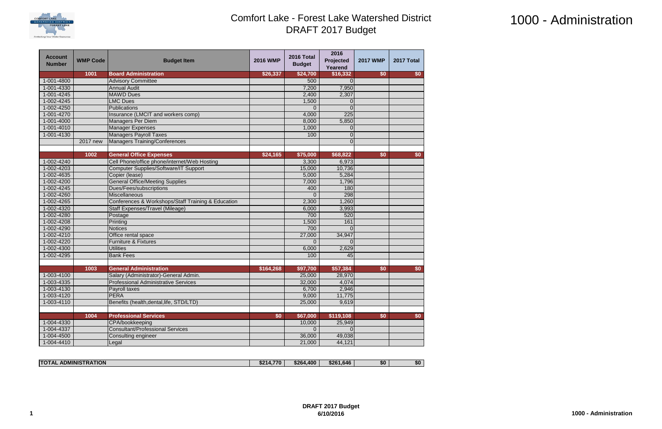

# 1000 - Administration

| <b>Account</b><br><b>Number</b> | <b>WMP Code</b> | <b>Budget Item</b>                                 | <b>2016 WMP</b> | 2016 Total<br><b>Budget</b> | 2016<br>Projected<br>Yearend | <b>2017 WMP</b> | 2017 Total |
|---------------------------------|-----------------|----------------------------------------------------|-----------------|-----------------------------|------------------------------|-----------------|------------|
|                                 | 1001            | <b>Board Administration</b>                        | \$26,337        | \$24,700                    | \$16,332                     | \$0             | \$0        |
| 1-001-4800                      |                 | <b>Advisory Committee</b>                          |                 | 500                         |                              |                 |            |
| 1-001-4330                      |                 | <b>Annual Audit</b>                                |                 | 7,200                       | 7,950                        |                 |            |
| 1-001-4245                      |                 | <b>MAWD Dues</b>                                   |                 | 2,400                       | 2,307                        |                 |            |
| 1-002-4245                      |                 | <b>LMC Dues</b>                                    |                 | 1,500                       | $\Omega$                     |                 |            |
| 1-002-4250                      |                 | <b>Publications</b>                                |                 | $\Omega$                    | $\Omega$                     |                 |            |
| 1-001-4270                      |                 | Insurance (LMCIT and workers comp)                 |                 | 4,000                       | 225                          |                 |            |
| 1-001-4000                      |                 | <b>Managers Per Diem</b>                           |                 | 8,000                       | 5,850                        |                 |            |
| 1-001-4010                      |                 | <b>Manager Expenses</b>                            |                 | 1,000                       |                              |                 |            |
| 1-001-4130                      |                 | <b>Managers Payroll Taxes</b>                      |                 | 100                         | $\Omega$                     |                 |            |
|                                 | 2017 new        | <b>Managers Training/Conferences</b>               |                 |                             | $\Omega$                     |                 |            |
|                                 |                 |                                                    |                 |                             |                              |                 |            |
|                                 | 1002            | <b>General Office Expenses</b>                     | \$24,165        | \$75,000                    | \$68,822                     | \$0             | \$0        |
| 1-002-4240                      |                 | Cell Phone/office phone/internet/Web Hosting       |                 | 3,300                       | 6,973                        |                 |            |
| 1-002-4203                      |                 | <b>Computer Supplies/Software/IT Support</b>       |                 | 15,000                      | 10,736                       |                 |            |
| 1-002-4635                      |                 | Copier (lease)                                     |                 | 5,000                       | 5,284                        |                 |            |
| 1-002-4200                      |                 | <b>General Office/Meeting Supplies</b>             |                 | 7,000                       | 1,796                        |                 |            |
| 1-002-4245                      |                 | Dues/Fees/subscriptions                            |                 | 400                         | 180                          |                 |            |
| 1-002-4260                      |                 | Miscellaneous                                      |                 | 0                           | 298                          |                 |            |
| 1-002-4265                      |                 | Conferences & Workshops/Staff Training & Education |                 | 2,300                       | 1,260                        |                 |            |
| 1-002-4320                      |                 | Staff Expenses/Travel (Mileage)                    |                 | 6,000                       | 3,993                        |                 |            |
| 1-002-4280                      |                 | Postage                                            |                 | 700                         | 520                          |                 |            |
| 1-002-4208                      |                 | Printing                                           |                 | 1,500                       | 161                          |                 |            |
| 1-002-4290                      |                 | <b>Notices</b>                                     |                 | 700                         |                              |                 |            |
| 1-002-4210                      |                 | Office rental space                                |                 | 27,000                      | 34,947                       |                 |            |
| 1-002-4220                      |                 | <b>Furniture &amp; Fixtures</b>                    |                 | $\Omega$                    |                              |                 |            |
| 1-002-4300                      |                 | <b>Utilities</b>                                   |                 | 6,000                       | 2,629                        |                 |            |
| 1-002-4295                      |                 | <b>Bank Fees</b>                                   |                 | 100                         | 45                           |                 |            |
|                                 |                 |                                                    |                 |                             |                              |                 |            |
|                                 | 1003            | <b>General Administration</b>                      | \$164,268       | \$97,700                    | \$57,384                     | \$0             | \$0        |
| 1-003-4100                      |                 | Salary (Administrator)-General Admin.              |                 | 25,000                      | 28,970                       |                 |            |
| 1-003-4335                      |                 | <b>Professional Administrative Services</b>        |                 | 32,000                      | 4,074                        |                 |            |
| 1-003-4130                      |                 | Payroll taxes                                      |                 | 6,700                       | 2,946                        |                 |            |
| 1-003-4120                      |                 | PERA                                               |                 | 9,000                       | 11,775                       |                 |            |
| 1-003-4110                      |                 | Benefits (health, dental, life, STD/LTD)           |                 | 25,000                      | 9,619                        |                 |            |
|                                 |                 |                                                    |                 |                             |                              |                 |            |
|                                 | 1004            | <b>Professional Services</b>                       | \$0             | \$67,000                    | \$119,108                    | \$0             | \$0        |
| 1-004-4330                      |                 | CPA/bookkeeping                                    |                 | 10,000                      | 25,949                       |                 |            |
| 1-004-4337                      |                 | <b>Consultant/Professional Services</b>            |                 | $\Omega$                    | $\Omega$                     |                 |            |
| 1-004-4500                      |                 | Consulting engineer                                |                 | 36,000                      | 49,038                       |                 |            |
| 1-004-4410                      |                 | Legal                                              |                 | 21,000                      | 44,121                       |                 |            |

| <b>STRATION</b><br><b>ADMINIS</b><br><b>ITOTAL</b> | - 770 -<br>\$214<br>. | \$264,400 | \$261,646 | \$0 | \$0 |
|----------------------------------------------------|-----------------------|-----------|-----------|-----|-----|

**6/10/2016 1000 - Administration**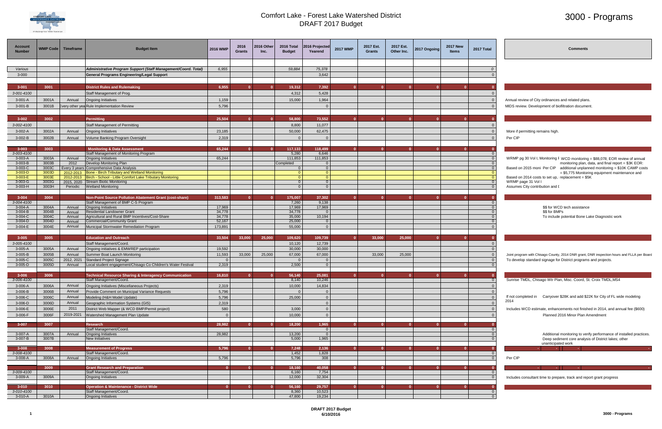

## 3000 - Programs

| Account<br><b>Number</b> | WMP Code       | <b>Timeframe</b>     | <b>Budget Item</b>                                                                     | 2016 WMP         | 2016<br><b>Grants</b> | 2016 Other<br>Inc. | 2016 Total<br><b>Budget</b> | 2016 Projected<br>Yearend  | <b>2017 WMP</b> | 2017 Est.<br><b>Grants</b> | 2017 Est.<br>Other Inc. | 2017 Ongoing | <b>2017 New</b><br><b>Items</b> | 2017 Total     | <b>Comments</b>                                                                                                                      |
|--------------------------|----------------|----------------------|----------------------------------------------------------------------------------------|------------------|-----------------------|--------------------|-----------------------------|----------------------------|-----------------|----------------------------|-------------------------|--------------|---------------------------------|----------------|--------------------------------------------------------------------------------------------------------------------------------------|
|                          |                |                      |                                                                                        |                  |                       |                    |                             |                            |                 |                            |                         |              |                                 |                |                                                                                                                                      |
| Various                  |                |                      | Administrative Program Support (Staff Management/Coord. Total)                         | 6,955            |                       |                    | 59,884                      | 75,378                     |                 |                            |                         |              |                                 |                |                                                                                                                                      |
| $3 - 000$                |                |                      | <b>General Programs Engineering/Legal Support</b>                                      |                  |                       |                    |                             | 3,642                      |                 |                            |                         |              |                                 |                |                                                                                                                                      |
|                          |                |                      |                                                                                        |                  |                       |                    |                             |                            |                 |                            |                         |              |                                 |                |                                                                                                                                      |
| $3 - 001$                | 3001           |                      | <b>District Rules and Rulemaking</b>                                                   | 6,955            |                       |                    | 19,312                      | 7,392                      | $\Omega$        | $\mathbf{0}$               |                         | $\Omega$     |                                 |                |                                                                                                                                      |
| 3-001-4100               |                |                      | Staff Management of Prog.                                                              |                  |                       |                    | 4,312                       | 5,428                      |                 |                            |                         |              |                                 |                |                                                                                                                                      |
| $3-001-A$                | 3001A          | Annual               | <b>Ongoing Initiatives</b>                                                             | 1,159            |                       |                    | 15,000                      | 1,964                      |                 |                            |                         |              |                                 | $\overline{0}$ | Annual review of City ordinances and related plans.                                                                                  |
| $3-001-B$                | 3001B          |                      | very other yea Rule Implementation Review                                              | 5,796            |                       |                    |                             | $\Omega$                   |                 |                            |                         |              |                                 |                | MIDS review. Development of biofiltration document.                                                                                  |
|                          |                |                      |                                                                                        |                  |                       |                    |                             |                            |                 |                            |                         |              |                                 |                |                                                                                                                                      |
| $3 - 002$                | 3002           |                      | <b>Permitting</b>                                                                      | 25,504           | $\Omega$              |                    | 58,800                      | 73,552                     | $\Omega$        | $\Omega$                   |                         |              |                                 |                |                                                                                                                                      |
| 3-002-4100               |                |                      | Staff Management of Permitting                                                         |                  |                       |                    | 8,800                       | 11,077                     |                 |                            |                         |              |                                 |                |                                                                                                                                      |
| $3-002-A$                | 3002A          | Annual               | <b>Ongoing Initiatives</b>                                                             | 23,185           |                       |                    | 50,000                      | 62,475                     |                 |                            |                         |              |                                 |                | More if permitting remains high.                                                                                                     |
| $3-002 - B$              | 3002B          | Annual               | Volume Banking Program Oversight                                                       | 2,319            |                       |                    |                             | $\Omega$                   |                 |                            |                         |              |                                 |                | Per CIP                                                                                                                              |
|                          |                |                      |                                                                                        |                  |                       |                    |                             |                            |                 |                            |                         |              |                                 |                |                                                                                                                                      |
| $3 - 003$                | 3003           |                      | <b>Monitoring &amp; Data Assessment</b>                                                | 65,244           | $\mathbf{0}$          |                    | 117,133                     | 118,499                    |                 | $\mathbf{0}$               | n.                      |              |                                 |                |                                                                                                                                      |
| 3-003-4100               |                |                      | Staff Management of Monitoring Program                                                 |                  |                       |                    | 5,280                       | 6,646                      |                 |                            |                         |              |                                 |                |                                                                                                                                      |
| $3-003-A$                | 3003A          | Annual               | <b>Ongoing Initiatives</b>                                                             | 65,244           |                       |                    | 111,853                     | 111,853                    |                 |                            |                         |              |                                 |                | WRMP pg 30 Vol I, Monitoring F WCD monitoring = \$88,078; EOR review of annual                                                       |
| $3-003-B$<br>3-003-C     | 3003B<br>3003C | 2012<br>very 3 years | Develop Monitoring Plan<br>Comprehensive Data Analysis                                 |                  |                       |                    | Completed<br>$\Omega$       | $\Omega$<br>$\overline{0}$ |                 |                            |                         |              |                                 | $\overline{0}$ | monitoring plan, data, and final report = \$3K EOR:<br>Based on 2015 moni Per CIP additional unplanned monitoring = \$10K CAMP costs |
| $3-003-D$                | 3003D          | 2012-2013            | Bone - Birch Tributary and Wetland Monitoring                                          |                  |                       |                    | $\Omega$                    | $\overline{0}$             |                 |                            |                         |              |                                 | - ೧            | = \$5,775 Monitoring equipment maintenance and                                                                                       |
| 3-003-E                  | 3003E          |                      | 2012-2013 Birch - School - Little Comfort Lake Tributary Monitoring                    |                  |                       |                    |                             | $\Omega$                   |                 |                            |                         |              |                                 |                | Based on 2014 costs to set up, replacement = \$5K                                                                                    |
| 3-003-G                  | 3003G          |                      | 2015, 2020 Stream Biotic Monitoring                                                    |                  |                       |                    | $\Omega$                    | 0 <sup>1</sup>             |                 |                            |                         |              |                                 | $\overline{0}$ | WRMP page 31 Vol I                                                                                                                   |
| $3-003-H$                | 3003H          | Periodic             | <b>Wetland Monitoring</b>                                                              |                  |                       |                    | $\Omega$                    | $\Omega$                   |                 |                            |                         |              |                                 |                | Assumes City contribution and I                                                                                                      |
| $3 - 004$                | 3004           |                      | Non-Point Source Pollution Abatement Grant (cost-share)                                | 313,583          | $\mathbf{0}$          |                    | 175,007                     | 37,302                     |                 | $\Omega$                   |                         |              |                                 |                |                                                                                                                                      |
| 3-004-4100               |                |                      | Staff Management of BMP C-S Program                                                    |                  |                       |                    | 7,260                       | 9,138                      |                 |                            |                         |              |                                 |                |                                                                                                                                      |
| $3-004-A$                | 3004A          | Annual               | <b>Ongoing Initiatives</b>                                                             | 17,969           |                       |                    | 17,969                      | 17,969                     |                 |                            |                         |              |                                 |                | \$\$ for WCD tech assistance                                                                                                         |
| $3-004-B$<br>3-004-C     | 3004B<br>3004C | Annual<br>Annual     | <b>Residential Landowner Grant</b><br>Agricultural and Rural BMP Incentives/Cost-Share | 34,778<br>34,778 |                       |                    | 34,778<br>35,000            | $\Omega$<br>10,194         |                 |                            |                         |              |                                 |                | \$\$ for BMPs                                                                                                                        |
| $3-004-D$                | 3004D          | Annual               | Commercial/Community Grant                                                             | 52,167           |                       |                    | 25,000                      | $\Omega$                   |                 |                            |                         |              |                                 |                | To include potential Bone Lake Diagnostic work                                                                                       |
| 3-004-E                  | 3004E          | Annual               | Municipal Stormwater Remediation Program                                               | 173,891          |                       |                    | 55,000                      | $\Omega$                   |                 |                            |                         |              |                                 |                |                                                                                                                                      |
|                          |                |                      |                                                                                        |                  |                       |                    |                             |                            |                 |                            |                         |              |                                 |                |                                                                                                                                      |
| $3 - 005$                | 3005           |                      | <b>Education and Outreach</b>                                                          | 33,504           | 33,000                | 25,000             | 109,620                     | 109,739                    |                 | 33,000                     | 25,000                  |              |                                 |                |                                                                                                                                      |
| 3-005-4100               |                |                      | Staff Management/Coord.                                                                |                  |                       |                    | 10,120                      | 12,739                     |                 |                            |                         |              |                                 |                |                                                                                                                                      |
| $3-005-A$                | 3005A          | Annual               | Ongoing initiatives & EMWREP participation                                             | 19,592           |                       |                    | 30,000                      | 30,000                     |                 |                            |                         |              |                                 |                |                                                                                                                                      |
| $3-005-B$                | 3005B          | Annual               | Summer Boat Launch Monitoring                                                          | 11,593           | 33,000                | 25,000             | 67,000                      | 67,000                     |                 | 33,000                     | 25,000                  |              |                                 |                | Joint program with Chisago County, 2014 DNR grant, DNR inspection hours and FLLA per Board                                           |
| 3-005-C                  | 3005C          | 2012, 2021           | Standard Project Signage                                                               | - 0              |                       |                    |                             | $\Omega$                   |                 |                            |                         |              |                                 |                | To develop standard signage for District programs and projects.                                                                      |
| $3-005-D$                | 3005D          | Annual               | Local student engagement/Chisago Co Children's Water Festival                          | 2,319            |                       |                    | 2,500                       | $\overline{0}$             |                 |                            |                         |              |                                 |                |                                                                                                                                      |
| $3 - 006$                | 3006           |                      | <b>Technical Resource Sharing &amp; Interagency Communication</b>                      | 16,810           | $\mathbf{0}$          |                    | 56,140                      | 25,081                     | $\Omega$        | $\mathbf{0}$               |                         | $\mathbf{0}$ |                                 |                |                                                                                                                                      |
| 3-006-4100               |                |                      | Staff Management/Coord.                                                                |                  |                       |                    | 8,140                       | 10,246                     |                 |                            |                         |              |                                 |                | Sunrise TMDL, Chisago Wtr Plan, Misc. Coord, St. Croix TMDL, MS4                                                                     |
| 3-006-A                  | 3006A          | Annual               | Ongoing Initiatives (Miscellaneous Projects)                                           | 2,319            |                       |                    | 10,000                      | 14,834                     |                 |                            |                         |              |                                 |                |                                                                                                                                      |
| 3-006-B                  | 3006B          | Annual               | Provide Comment on Municipal Variance Requests                                         | 5,796            |                       |                    | $\Omega$                    | $\Omega$                   |                 |                            |                         |              |                                 | - 0            |                                                                                                                                      |
| 3-006-C                  | 3006C          | Annual               | Modeling (H&H Model Update)                                                            | 5,796            |                       |                    | 25,000                      | $\Omega$                   |                 |                            |                         |              |                                 | $\Omega$       | If not completed in Carryover \$28K and add \$22K for City of FL wide modeling                                                       |
| 3-006-D                  | 3006D          | Annual               | Geographic Information Systems (GIS)                                                   | 2,319            |                       |                    |                             | $\Omega$                   |                 |                            |                         |              |                                 | $\Omega$       | 2014                                                                                                                                 |
| 3-006-E                  | 3006E          | 2011                 | District Web Mapper (& WCD BMP/Permit project)                                         | 580              |                       |                    | 3,000                       | $\Omega$                   |                 |                            |                         |              |                                 | $\Omega$       | Includes WCD estimate, enhancements not finished in 2014, and annual fee (\$600)                                                     |
| 3-006-F                  | 3006F          | 2019-2021            | Watershed Management Plan Update                                                       | $\sqrt{ }$       |                       |                    | 10,000                      | $\Omega$                   |                 |                            |                         |              |                                 |                | Planned 2016 Minor Plan Amendment                                                                                                    |
| $3 - 007$                | 3007           |                      | <b>Research</b>                                                                        | 28,982           | $\mathbf{0}$          |                    | 18,200                      | 1,965                      | $\mathbf{0}$    | $\mathbf{a}$               | $\mathbf{0}$            | $\mathbf{0}$ |                                 |                |                                                                                                                                      |
|                          |                |                      | Staff Management/Coord.                                                                |                  |                       |                    |                             | $\overline{0}$             |                 |                            |                         |              |                                 |                |                                                                                                                                      |
| 3-007-A                  | 3007A          | Annual               | <b>Ongoing Initiatives</b>                                                             | 28,982           |                       |                    | 13,200                      | $\overline{0}$             |                 |                            |                         |              |                                 |                | Additional monitoring to verify performance of installed practices.                                                                  |
| $3-007 - B$              | 3007B          |                      | <b>New Initiatives</b>                                                                 |                  |                       |                    | 5,000                       | 1,965                      |                 |                            |                         |              |                                 |                | Deep sediment core analysis of District lakes; other                                                                                 |
| $3 - 008$                | 3008           |                      | <b>Measurement of Progress</b>                                                         | 5,796            | $\mathbf{0}$          |                    | 7,248                       |                            |                 | $\mathbf{0}$               |                         |              |                                 |                | unanticipated work<br><b>Section</b><br>1994 F                                                                                       |
| 3-008-4100               |                |                      | Staff Management/Coord.                                                                |                  |                       |                    | 1,452                       | 2,136<br>1,828             |                 |                            |                         |              |                                 | - 0            |                                                                                                                                      |
| $3-008-A$                | 3008A          | Annual               | <b>Ongoing Initiatives</b>                                                             | 5,796            |                       |                    | 5,796                       | 308                        |                 |                            |                         |              |                                 | $\overline{0}$ | Per CIP                                                                                                                              |
|                          |                |                      |                                                                                        |                  |                       |                    |                             |                            |                 |                            |                         |              |                                 |                |                                                                                                                                      |
| 3-009-4100               | 3009           |                      | <b>Grant Research and Preparation</b><br>Staff Management/Coord.                       | $\mathbf{0}$     | $\mathbf{0}$          |                    | 18,160<br>6,160             | 40,058<br>7,754            |                 | $\mathbf{a}$               | n                       | $\mathbf{v}$ |                                 |                | <b>Contract</b><br><b>Contract Contract</b><br><b>Service State</b>                                                                  |
| 3-009-A                  | 3009A          |                      | <b>Ongoing Initiatives</b>                                                             |                  |                       |                    | 12,000                      | 32,304                     |                 |                            |                         |              |                                 |                | Includes consultant time to prepare, track and report grant progress                                                                 |
|                          |                |                      |                                                                                        |                  |                       |                    |                             |                            |                 |                            |                         |              |                                 |                |                                                                                                                                      |
| $3 - 010$                | 3010           |                      | <b>Operation &amp; Maintenance - District Wide</b>                                     |                  |                       |                    | 56,160                      | 29,757                     |                 |                            |                         |              |                                 |                |                                                                                                                                      |
| 3-010-4100               |                |                      | Staff Management/Coord.                                                                |                  |                       |                    | 8,360                       | 10,523                     |                 |                            |                         |              |                                 |                |                                                                                                                                      |
| 3-010-A                  | 3010A          |                      | <b>Ongoing Initiatives</b>                                                             |                  |                       |                    | 47,800                      | 19,234                     |                 |                            |                         |              |                                 |                |                                                                                                                                      |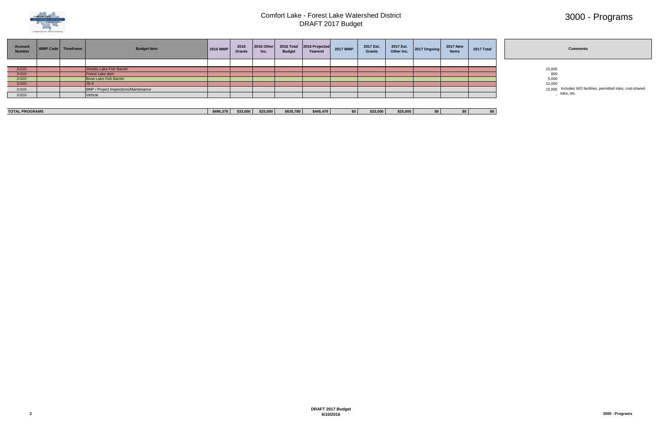

# 3000 - Programs

| tal |  |
|-----|--|
|     |  |
|     |  |
|     |  |
|     |  |
|     |  |
|     |  |
|     |  |

|--|--|

- 
- 
- 
- 15,000 Includes WD facilities, permitted sites, cost-shared sites, etc.

| Account<br><b>Number</b> | WMP Code   Timeframe | <b>Budget Item</b>                           | 2016 WMP | 2016<br><b>Grants</b> | 2016 Other<br>Inc. | 2016 Total<br><b>Budget</b> | 2016 Projected<br>Yearend | 2017 WMP | 2017 Est.<br><b>Grants</b> | 2017 Est.<br>Other Inc. | 2017 Ongoing | <b>2017 New</b><br><b>Items</b> | 2017 Total | <b>Comments</b>                     |
|--------------------------|----------------------|----------------------------------------------|----------|-----------------------|--------------------|-----------------------------|---------------------------|----------|----------------------------|-------------------------|--------------|---------------------------------|------------|-------------------------------------|
|                          |                      |                                              |          |                       |                    |                             |                           |          |                            |                         |              |                                 |            |                                     |
| $3 - 010 -$              |                      | Shields Lake Fish Barrier                    |          |                       |                    |                             |                           |          |                            |                         |              |                                 |            | 15,000                              |
| $3 - 010 -$              |                      | Forest Lake dam                              |          |                       |                    |                             |                           |          |                            |                         |              |                                 |            |                                     |
| $3 - 010 -$              |                      | Bone Lake Fish Barrier                       |          |                       |                    |                             |                           |          |                            |                         |              |                                 |            |                                     |
| $3 - 010 -$              |                      | J <sub>D</sub>                               |          |                       |                    |                             |                           |          |                            |                         |              |                                 |            | 800<br>5,000<br>12,000              |
| $3 - 010 -$              |                      | <b>BMP / Project Inspections/Maintenance</b> |          |                       |                    |                             |                           |          |                            |                         |              |                                 |            | 15,000 Includes WD farm sites, etc. |
| $3 - 010 -$              |                      | Vehicle                                      |          |                       |                    |                             |                           |          |                            |                         |              |                                 |            |                                     |

| <b>TOTAL PROGRAMS</b> | . | -- ---<br>533,00c | \$25,000 | \$635.780 | \$445.479 | \$33,00 | \$25.00 | «Ω | -50 |  |
|-----------------------|---|-------------------|----------|-----------|-----------|---------|---------|----|-----|--|
|                       |   |                   |          |           |           |         |         |    |     |  |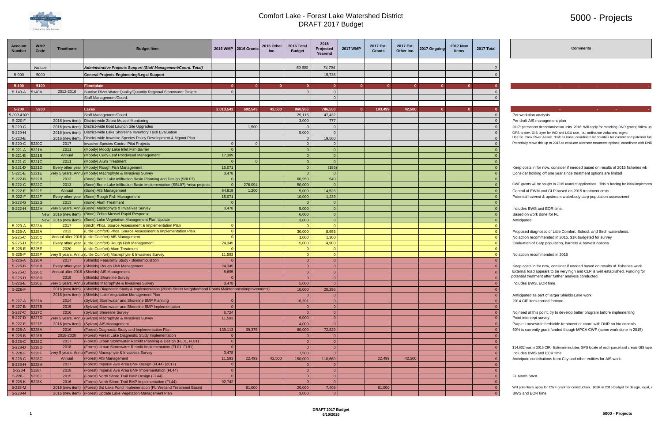

## 5000 - Projects

| <b>Account</b><br><b>Number</b> | <b>WMP</b><br>Code | <b>Timeframe</b> | <b>Budget Item</b>                                                                                                     |                            | 2016 WMP   2016 Grants | 2016 Other | 2016 Total<br><b>Budget</b> | 2016<br><b>Projected</b><br>Yearend | <b>2017 WMP</b> | 2017 Est.<br><b>Grants</b> | 2017 Est.<br>Other Inc. | 2017 Ongoing | <b>2017 New</b><br><b>Items</b> | 2017 Total   | <b>Comment:</b>                                                                                                                                                                               |
|---------------------------------|--------------------|------------------|------------------------------------------------------------------------------------------------------------------------|----------------------------|------------------------|------------|-----------------------------|-------------------------------------|-----------------|----------------------------|-------------------------|--------------|---------------------------------|--------------|-----------------------------------------------------------------------------------------------------------------------------------------------------------------------------------------------|
|                                 | Various            |                  | Administrative Projects Support (Staff Management/Coord. Total)                                                        |                            |                        |            | 50,600                      | 74,704                              |                 |                            |                         |              |                                 |              |                                                                                                                                                                                               |
| $5 - 000$                       | 5000               |                  | General Projects Engineering/Legal Support                                                                             |                            |                        |            |                             | 15,738                              |                 |                            |                         |              |                                 |              |                                                                                                                                                                                               |
|                                 |                    |                  |                                                                                                                        |                            |                        |            |                             |                                     |                 |                            |                         |              |                                 |              |                                                                                                                                                                                               |
| $5 - 100$                       | 5100               |                  | Floodplain                                                                                                             |                            |                        |            |                             | $\Omega$                            |                 |                            |                         |              |                                 |              | $\sim 100$<br><b>Contractor</b><br><b>Contract</b><br><b>Contract</b>                                                                                                                         |
| 5-140-A                         | 5140A              | 2012-2016        | Sunrise River Water Quality/Quantity Regional Stormwater Project                                                       | $\Omega$                   |                        |            |                             | $\overline{0}$<br>$\Omega$          |                 |                            |                         |              |                                 |              |                                                                                                                                                                                               |
|                                 |                    |                  | Staff Management/Coord.                                                                                                |                            |                        |            |                             |                                     |                 |                            |                         |              |                                 |              |                                                                                                                                                                                               |
| $5 - 200$                       | 5200               |                  | Lakes                                                                                                                  | 2,013,543                  | 602,543                | 42.500     | 960.956                     | 786,550                             |                 | 103,499                    | 42,500                  |              |                                 |              | <b>Carl Co</b>                                                                                                                                                                                |
| 5-200-4100                      |                    |                  | Staff Management/Coord.                                                                                                |                            |                        |            | 29,115                      | 47,432                              |                 |                            |                         |              |                                 |              | Per workplan analysis                                                                                                                                                                         |
| 5-220-F                         |                    |                  | 2016 (new item) District-wide Zebra Mussel Monitoring                                                                  |                            |                        |            | 3,000                       | 777                                 |                 |                            |                         |              |                                 |              | Per draft AIS management plan                                                                                                                                                                 |
| 5-220-G                         |                    |                  | 2016 (new item) District-wide Boat Launch Site Upgrades                                                                |                            | 1,500                  |            |                             | $\Omega$                            |                 |                            |                         |              |                                 |              | 2017: permanent decontamination units. 2016: Will apply for matching DNR grants; follow u                                                                                                     |
| 5-220-H                         |                    |                  | 2016 (new item) District-wide Lake Shoreline Inventory Tech Evaluation                                                 |                            |                        |            | 5,000                       | $\Omega$                            |                 |                            |                         |              |                                 |              | GPS to dev. GIS layer for WD and LGU use, i.e., ordinance violations, mgmt                                                                                                                    |
| 5-220-E                         | 5220C              | 2016 (new item)  | District-wide Invasive Species Policy Development & Mgmnt Plan                                                         |                            | $\Omega$               |            |                             | 19,560                              |                 |                            |                         |              |                                 |              | Use St. Croix River Assoc. draft as base; coordinate w/ counties for current and potential fu<br>Potentially move this up to 2016 to evaluate alternate treatment options; coordinate with DN |
| 5-220-C<br>$5 - 221 - A$        | 5221A              | 2017<br>2011     | <b>Invasive Species Control Pilot Projects</b><br>(Moody) Moody Lake Inlet Fish Barrier                                | $\overline{0}$<br>$\Omega$ |                        |            |                             | $\Omega$                            |                 |                            |                         |              |                                 |              |                                                                                                                                                                                               |
| $5 - 221 - B$                   | 5221B              | Annual           | (Moody) Curly-Leaf Pondweed Management                                                                                 | 17,389                     |                        |            |                             | $\Omega$                            |                 |                            |                         |              |                                 |              |                                                                                                                                                                                               |
| $5 - 221 - C$                   | 5221C              | 2011             | (Moody) Alum Treatment                                                                                                 |                            |                        |            |                             | $\Omega$                            |                 |                            |                         |              |                                 |              |                                                                                                                                                                                               |
| $5 - 221 - D$                   | 5221D              |                  | Every other year (Moody) Rough Fish Management                                                                         | 15,071                     |                        |            |                             | (195)                               |                 |                            |                         |              |                                 |              | Keep costs in for now, consider if needed based on results of 2015 fisheries wk                                                                                                               |
| $5 - 221 - E$                   | 5221E              |                  | very 5 years, Annu (Moody) Macrophyte & Invasives Survey                                                               | 3,478                      |                        |            |                             | $\Omega$                            |                 |                            |                         |              |                                 |              | Consider holding off one year since treatment options are limited                                                                                                                             |
| $5 - 222 - B$                   | 5222B              | 2012             | (Bone) Bone Lake Infiltration Basin Planning and Design (SBL07)                                                        | $\Omega$                   |                        |            | 66,950                      | 540                                 |                 |                            |                         |              |                                 |              |                                                                                                                                                                                               |
| $5 - 222 - C$                   | 5222C              | 2013             | (Bone) Bone Lake Infiltration Basin Implementation (SBL07) *misc project                                               | $\Omega$                   | 276,094                |            | 50,000                      | $\Omega$                            |                 |                            |                         |              |                                 |              | CWF grants will be sought in 2015 round of applications. This is funding for initial implement                                                                                                |
| $5 - 222 - E$                   | 5222E              | Annual           | (Bone) AIS Management                                                                                                  | 64,919                     | 1,200                  |            | 5,000                       | 14,526                              |                 |                            |                         |              |                                 |              | Control of EWM and CLP based on 2015 treatment costs                                                                                                                                          |
| 5-222-F                         | 5222F              | Every other year | (Bone) Rough Fish Management                                                                                           | 15,071                     |                        |            | 10,000                      | 1,239                               |                 |                            |                         |              |                                 |              | Potential harvest & upstream waterbody carp population assessment                                                                                                                             |
| $5 - 222 - G$                   | 5222G              | 2013             | (Bone) Alum Treatment                                                                                                  |                            |                        |            |                             | $\Omega$                            |                 |                            |                         |              |                                 |              |                                                                                                                                                                                               |
| 5-222-H                         | 5222H              |                  | very 5 years, Annul (Bone) Macrophyte & Invasives Survey<br>New   2016 (new item) (Bone) Zebra Mussel Rapid Response   | 3,478                      |                        |            | 5,000<br>6,000              | $\Omega$<br>$\Omega$                |                 |                            |                         |              |                                 |              | Includes BWS and EOR time.<br>Based on work done for FL                                                                                                                                       |
|                                 | <b>New</b>         | 2016 (new item)  | (Bone) Lake Vegetation Management Plan Update                                                                          |                            |                        |            | 3,000                       | $\Omega$                            |                 |                            |                         |              |                                 |              | Anticipated                                                                                                                                                                                   |
| $5 - 223 - A$                   | 5223A              | 2017             | (Birch) Phos. Source Assessment & Implementation Plan                                                                  | $\Omega$                   |                        |            |                             | $\Omega$                            |                 |                            |                         |              |                                 |              |                                                                                                                                                                                               |
| $5 - 225 - A$                   | 5225A              | 2012             | (Little Comfort) Phos. Source Assessment & Implementation Plan                                                         | $\overline{0}$             |                        |            | 30,000                      | 8,955                               |                 |                            |                         |              |                                 |              | Proposed diagnostic of Little Comfort, School, and Birch watersheds                                                                                                                           |
| $5 - 225 - C$                   | 5225C              |                  | Annual after 2016 (Little Comfort) AIS Management                                                                      |                            |                        |            | 1,000                       | 1,300                               |                 |                            |                         |              |                                 |              | No action recommended in 2015, \$1K budgeted for survey                                                                                                                                       |
| $5 - 225 - D$                   | 5225D              | Every other year | (Little Comfort) Rough Fish Management                                                                                 | 24,345                     |                        |            | 5,000                       | 4,900                               |                 |                            |                         |              |                                 |              | Evaluation of Carp population, barriers & harvest options                                                                                                                                     |
| $5 - 225 - E$                   | 5225E              | 2020             | (Little Comfort) Alum Treatment                                                                                        |                            |                        |            |                             |                                     |                 |                            |                         |              |                                 |              |                                                                                                                                                                                               |
| $5 - 225 - F$                   | 5225F              |                  | very 5 years, Annui (Little Comfort) Macrophyte & Invasives Survey                                                     | 11,593                     |                        |            |                             | $\Omega$                            |                 |                            |                         |              |                                 |              | No action recommended in 2015                                                                                                                                                                 |
| 5-226-A                         | 5226A              | 2017             | (Shields) Feasibility Study - Biomanipulation<br>Every other year (Shields) Rough Fish Management                      | $\Omega$<br>24,345         |                        |            |                             | $\overline{0}$                      |                 |                            |                         |              |                                 |              |                                                                                                                                                                                               |
| $5 - 226 - B$<br>$5 - 226 - C$  | 5226B<br>5226C     |                  | Annual after 2016 (Shields) AIS Management                                                                             | 8,695                      |                        |            |                             | $\Omega$                            |                 |                            |                         |              |                                 |              | Keep costs in for now, consider if needed based on results of fisheries work<br>External load appears to be very high and CLP is well established. Funding for                                |
| $5 - 226 - D$                   | 5226D              | 2018             | (Shields) Shoreline Survey                                                                                             |                            |                        |            |                             |                                     |                 |                            |                         |              |                                 |              | potential treatment after further analysis conducted.                                                                                                                                         |
| 5-226-E 5226E                   |                    |                  | very 5 years, Annul (Shields) Macrophyte & Invasives Survey                                                            | 3,478                      |                        |            | 5,000                       | $\overline{0}$                      |                 |                            |                         |              |                                 | $\mathbf{0}$ | Includes BWS, EOR time.                                                                                                                                                                       |
| 5-226-F                         |                    |                  | 2016 (new item) (Shields) Diagnostic Study & Implementation (208th Street Neighborhood Ponds Maintenance/Improvements) |                            |                        |            | 10,000                      | 20,296                              |                 |                            |                         |              |                                 |              |                                                                                                                                                                                               |
|                                 |                    | 2016 (new item)  | (Shields) Lake Vegetation Management Plan                                                                              |                            |                        |            |                             |                                     |                 |                            |                         |              |                                 |              | Anticipated as part of larger Shields Lake work                                                                                                                                               |
| $5 - 227 - A$                   | 5227A              | 2014             | (Sylvan) Stormwater and Shoreline BMP Planning                                                                         | $\overline{0}$             |                        |            | 16,391                      | $\Omega$                            |                 |                            |                         |              |                                 |              | 2014 CIP item carried forward                                                                                                                                                                 |
| $5 - 227 - B$                   | 5227B              | 2015             | (Sylvan) Stormwater and Shoreline BMP Implementation                                                                   | $\Omega$                   |                        |            |                             | $\Omega$                            |                 |                            |                         |              |                                 |              |                                                                                                                                                                                               |
| 5-227-C<br>5-227-D              | 5227C<br>5227D     | 2016             | (Sylvan) Shoreline Survey                                                                                              | 6,724<br>11,593            |                        |            | 6,000                       | $\Omega$<br>$\Omega$                |                 |                            |                         |              |                                 |              | No need at this point, try to develop better program before implementing<br>Point intercept survey                                                                                            |
| $5 - 227 - E$                   | 5227E              |                  | very 5 years, Annu (Sylvan) Macrophyte & Invasives Survey<br>2016 (new item) (Sylvan) AIS Management                   |                            |                        |            | 4,000                       | $\Omega$                            |                 |                            |                         |              |                                 |              | Purple Loosestrife herbicide treatment or coord with DNR on bio controls                                                                                                                      |
| $5 - 228 - A$                   | 5228A              | 2016             | (Forest) Diagnostic Study and Implementation Plan                                                                      | 139,113                    | 39,375                 |            | 80,000                      | 72,829                              |                 |                            |                         |              |                                 |              | 50% is currently grant funded though MPCA CWP (some work done in 2015)                                                                                                                        |
| $5 - 228 - B$                   | 5228B              | 2018-2020        | (Forest) Forest Lake Diagnostic Study Implementation                                                                   | $\overline{0}$             |                        |            |                             |                                     |                 |                            |                         |              |                                 |              |                                                                                                                                                                                               |
| 5-228-C                         | 5228C              | 2017             | (Forest) Urban Stormwater Retrofit Planning & Design (FL01, FL81)                                                      | $\overline{0}$             |                        |            |                             |                                     |                 |                            |                         |              |                                 |              |                                                                                                                                                                                               |
| $5 - 228 - D$                   | 5228D              | 2018             | (Forest) Urban Stormwater Retrofit Implementation (FL01, FL81)                                                         | $\overline{0}$             |                        |            |                             |                                     |                 |                            |                         |              |                                 |              | \$14,632 was in 2015 CIP. Estimate includes GPS locate of each parcel and create GIS lay                                                                                                      |
| $5 - 228 - F$                   | 5228F              |                  | very 5 years, Annua (Forest) Macrophyte & Invasives Survey                                                             | 3,478                      |                        |            | 7,500                       | $\Omega$                            |                 |                            |                         |              |                                 |              | Includes BWS and EOR time                                                                                                                                                                     |
| $5 - 228 - G$                   | 5228G              | Annual           | (Forest) AIS Management                                                                                                | 11,593                     | 22,499                 | 42,500     | 150,000                     | 110,660                             |                 | 22,499                     | 42,500                  |              |                                 |              | Anticipate contributions from City and other entities for AIS work.                                                                                                                           |
| $5 - 228 - H$                   | 5228H              | 2017             | (Forest) Imperial Ave Area BMP Design (FL44) (2017)                                                                    | $\Omega$<br>$\Omega$       |                        |            |                             |                                     |                 |                            |                         |              |                                 |              |                                                                                                                                                                                               |
| $5 - 228 - 1$                   | 52281<br>5228J     | 2018<br>2015     | (Forest) Imperial Ave Area BMP Implementation (FL44)<br>(Forest) North Shore Trail BMP Design (FL44)                   | $\Omega$                   |                        |            |                             | $\Omega$                            |                 |                            |                         |              |                                 |              |                                                                                                                                                                                               |
| $5 - 228 - J$<br>$5 - 228 - K$  | 5228K              | 2016             | (Forest) North Shore Trail BMP Implementation (FL44)                                                                   | 92,742                     |                        |            |                             |                                     |                 |                            |                         |              |                                 |              | FL North SWA                                                                                                                                                                                  |
| 5-228-M                         |                    | 2016 (new item)  | (Forest) 3rd Lake Pond Implemenation (FL Wetland Treatment Basin)                                                      |                            | 81,000                 |            | 20,000                      | 7,406                               |                 | 81,000                     |                         |              |                                 |              | Will potentially apply for CWF grant for construction. \$65K in 2015 budget for design, legal                                                                                                 |
| $5 - 228 - N$                   |                    |                  | 2016 (new item) (Forest) Update Lake Vegetation Management Plan                                                        |                            |                        |            | 3,000                       | $\Omega$                            |                 |                            |                         |              |                                 |              | BWS and EOR time                                                                                                                                                                              |
|                                 |                    |                  |                                                                                                                        |                            |                        |            |                             |                                     |                 |                            |                         |              |                                 |              |                                                                                                                                                                                               |

#### **Comments**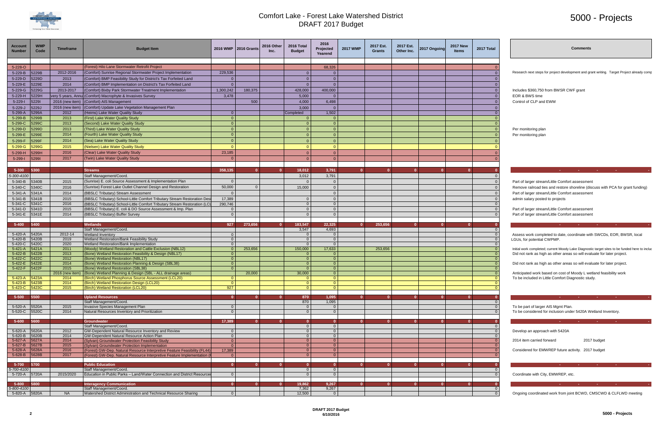

## 5000 - Projects

| 0                                |
|----------------------------------|
| $\overline{0}$                   |
| $\overline{0}$                   |
| $\overline{0}$                   |
| $\overline{0}$                   |
| $\overline{0}$                   |
| $\overline{0}$                   |
| 0                                |
| $\overline{\mathbf{C}}$<br>)     |
| $\overline{0}$                   |
| $\overline{0}$<br>0              |
| $\overline{0}$                   |
| $\overline{0}$                   |
|                                  |
| 0<br>$\overline{0}$              |
| $\overline{0}$                   |
|                                  |
| $\overline{\mathbf{0}}$          |
| 0                                |
| $\overline{0}$                   |
| 0                                |
| $\overline{0}$                   |
| $\overline{0}$                   |
| (<br>)                           |
| $\overline{0}$                   |
| $\mathbf{0}$                     |
|                                  |
|                                  |
| $\overline{\mathbf{0}}$          |
| 0                                |
| $\overline{0}$<br>(<br>)         |
| $\frac{1}{0}$                    |
| $\overline{\phantom{a}}$<br>J    |
| $\frac{8}{0}$                    |
| $\overline{0}$<br>$\overline{0}$ |
| $\frac{8}{0}$                    |
| $\frac{1}{0}$                    |
| $\frac{1}{0}$                    |
| $\frac{8}{0}$<br>$\overline{0}$  |
|                                  |
| Ō                                |
| 0                                |
| $\overline{0}$<br>(<br>)         |
|                                  |
| $\overline{0}$                   |
| 0                                |
| $\overline{0}$                   |
| $\overline{0}$                   |
| $\frac{0}{0}$                    |
|                                  |
| $\frac{1}{0}$                    |
|                                  |
| $\overline{0}$<br>(<br>)         |
| $\overline{0}$                   |
| Ō                                |

| <b>Account</b><br><b>Number</b> | <b>WMP</b><br>Code | Timeframe              | <b>Budget Item</b>                                                                                                          |                      | 2016 WMP   2016 Grants | 2016 Other<br>Inc. | 2016 Total<br><b>Budget</b>      | 2016<br>Projected<br>Yearend     | <b>2017 WMP</b> | 2017 Est.<br>Grants | 2017 Est.<br>Other Inc. | 2017 Ongoing | <b>2017 New</b><br><b>Items</b> | 2017 Total           | Comment                                                                                                                                                                |
|---------------------------------|--------------------|------------------------|-----------------------------------------------------------------------------------------------------------------------------|----------------------|------------------------|--------------------|----------------------------------|----------------------------------|-----------------|---------------------|-------------------------|--------------|---------------------------------|----------------------|------------------------------------------------------------------------------------------------------------------------------------------------------------------------|
| 5-228-O                         |                    |                        | (Forest) Hilo Lane Stormwater Retrofit Project                                                                              |                      |                        |                    |                                  | 68,326                           |                 |                     |                         |              |                                 |                      |                                                                                                                                                                        |
| 5-229-B                         | 5229B              | 2012-2016              | (Comfort) Sunrise Regional Stormwater Project Implementation                                                                | 229,536              |                        |                    |                                  | $\overline{0}$                   |                 |                     |                         |              |                                 |                      | Research next steps for project development and grant writing. Target Project already con                                                                              |
| 5-229-D                         | 5229D              | 2013                   | (Comfort) BMP Feasibility Study for District's Tax Forfeited Land                                                           | $\Omega$             |                        |                    | $\Omega$                         | $\overline{0}$                   |                 |                     |                         |              |                                 |                      |                                                                                                                                                                        |
| 5-229-E                         | 5229E              | 2014                   | (Comfort) BMP Implementation on District's Tax Forfeited Land                                                               |                      |                        |                    | $\Omega$                         | $\overline{0}$                   |                 |                     |                         |              |                                 |                      |                                                                                                                                                                        |
| 5-229-G                         | 5229G              | 2013-2017              | (Comfort) Bixby Park Stormwater Treatment Implementation                                                                    | 1,300,242            | 180,375                |                    | 428,000                          | 400,000                          |                 |                     |                         |              |                                 |                      | Includes \$360,750 from BWSR CWF grant                                                                                                                                 |
| $5 - 229 - H$                   | 5229H              |                        | ery 5 years, Annu (Comfort) Macrophyte & Invasives Survey                                                                   | 3,478                |                        |                    | 5,000                            | $\overline{0}$                   |                 |                     |                         |              |                                 |                      | EOR & BWS time                                                                                                                                                         |
| $5 - 229 - 1$                   | 52291              |                        | 2016 (new item) (Comfort) AIS Management                                                                                    |                      | 500                    |                    | 4,000                            | 6,498                            |                 |                     |                         |              |                                 |                      | Control of CLP and EWM                                                                                                                                                 |
| $5 - 229 - J$                   | 5229J              |                        | 2016 (new item) (Comfort) Update Lake Vegetation Management Plan                                                            |                      |                        |                    | 3,000                            | $\overline{0}$                   |                 |                     |                         |              |                                 |                      |                                                                                                                                                                        |
| 5-299-A                         | 5299A              | 2012                   | (Heims) Lake Water Quality Study                                                                                            | $\overline{0}$       |                        |                    | Completed                        | 1,502                            |                 |                     |                         |              |                                 |                      |                                                                                                                                                                        |
| 5-299-B                         | 5299B              | 2013                   | (First) Lake Water Quality Study                                                                                            | $\Omega$             |                        |                    | $\Omega$                         | $\overline{0}$                   |                 |                     |                         |              |                                 |                      |                                                                                                                                                                        |
| 5-299-C                         | 5299C              | 2013                   | (Second) Lake Water Quality Study                                                                                           | $\Omega$             |                        |                    | $\Omega$                         | $\overline{0}$                   |                 |                     |                         |              |                                 |                      |                                                                                                                                                                        |
| $5 - 299 - D$                   | 5299D              | 2013<br>2014           | (Third) Lake Water Quality Study                                                                                            | $\Omega$<br>$\Omega$ |                        |                    | $\overline{0}$<br>$\Omega$       | $\overline{0}$                   |                 |                     |                         |              |                                 | $\Omega$             | Per monitoring plan                                                                                                                                                    |
| 5-299-E                         | 5299E              | 2014                   | (Fourth) Lake Water Quality Study                                                                                           | $\Omega$             |                        |                    |                                  | $\overline{0}$                   |                 |                     |                         |              |                                 |                      | Per monitoring plan                                                                                                                                                    |
| 5-299-F                         | 5299F              |                        | (Sea) Lake Water Quality Study                                                                                              |                      |                        |                    | $\Omega$                         | $\overline{0}$                   |                 |                     |                         |              |                                 |                      |                                                                                                                                                                        |
| $5 - 299 - G$                   | 5299G              | 2015<br>2016           | (Nielsen) Lake Water Quality Study<br>(Clear) Lake Water Quality Study                                                      | 23,185               |                        |                    | $\Omega$<br>$\Omega$             | $\overline{0}$<br>$\overline{0}$ |                 |                     |                         |              |                                 |                      |                                                                                                                                                                        |
| $5-299-H$                       | 5299H<br>52991     | 2017                   | (Twin) Lake Water Quality Study                                                                                             |                      |                        |                    | $\Omega$                         | $\overline{0}$                   |                 |                     |                         |              |                                 |                      |                                                                                                                                                                        |
| $5 - 299 - 1$                   |                    |                        |                                                                                                                             |                      |                        |                    |                                  |                                  |                 |                     |                         |              |                                 |                      |                                                                                                                                                                        |
| $5 - 300$                       | 5300               |                        | <b>Streams</b>                                                                                                              | 358,135              |                        |                    | 18,012                           | 3,791                            |                 | $\mathbf{a}$        | $\Omega$                |              |                                 |                      | <b>Contract Contract</b><br><b>CARD CONTRACTOR</b><br><b>State State</b>                                                                                               |
| 5-300-4100                      |                    |                        | Staff Management/Coord.                                                                                                     |                      |                        |                    | 3,012                            | 3,791                            |                 |                     |                         |              |                                 |                      |                                                                                                                                                                        |
| 5-340-B                         | 5340B              | 2015                   | (Sunrise) E. coli Source Assessment & Implementation Plan                                                                   | $\Omega$             |                        |                    | $\Omega$                         | $\Omega$                         |                 |                     |                         |              |                                 |                      | Part of larger stream/Little Comfort assessment                                                                                                                        |
| 5-340-C                         | 5340C              | 2016                   | (Sunrise) Forest Lake Outlet Channel Design and Restoration                                                                 | 50,000               | $\Omega$               |                    | 15,000                           | $\overline{0}$                   |                 |                     |                         |              |                                 |                      | Remove railroad ties and restore shoreline (discuss with PCA for grant funding)                                                                                        |
| $5-341-A$                       | 5341A              | 2014                   | (BBSLC Tributary) Stream Assessment                                                                                         |                      |                        |                    |                                  | $\overline{0}$                   |                 |                     |                         |              |                                 |                      | Part of larger stream/Little Comfort assessment                                                                                                                        |
| 5-341-B                         | 5341B              | 2015                   | (BBSLC Tributary) School-Little Comfort Tributary Stream Restoration Desi                                                   | 17,389               |                        |                    |                                  | $\overline{0}$                   |                 |                     |                         |              |                                 |                      | admin salary posted to projects                                                                                                                                        |
| 5-341-C                         | 5341C              | 2016                   | (BBSLC Tributary) School-Little Comfort Tributary Stream Restoration (LCL                                                   | 290,746              |                        |                    | $\Omega$                         | $\overline{0}$                   |                 |                     |                         |              |                                 |                      |                                                                                                                                                                        |
| 5-341-D                         | 5341D              | 2015                   | (BBSLC Tributary) E. coli & DO Source Assessment & Imp. Plan                                                                | $\Omega$             |                        |                    | $\overline{0}$                   | $\overline{0}$                   |                 |                     |                         |              |                                 |                      | Part of larger stream/Little Comfort assessment                                                                                                                        |
| 5-341-E                         | 5341E              | 2014                   | (BBSLC Tributary) Buffer Survey                                                                                             | $\Omega$             |                        |                    | $\Omega$                         | $\overline{0}$                   |                 |                     |                         |              |                                 |                      | Part of larger stream/Little Comfort assessment                                                                                                                        |
|                                 | 5400               |                        |                                                                                                                             |                      | 273,656                |                    |                                  | 22,325                           | $\Omega$        | 253,656             | $\mathbf{0}$            |              |                                 |                      |                                                                                                                                                                        |
| $5 - 400$                       |                    |                        | <b>Wetlands</b><br>Staff Management/Coord.                                                                                  | 927                  |                        |                    | 183,547<br>3,547                 | 4,693                            |                 |                     |                         |              |                                 |                      |                                                                                                                                                                        |
| 5-420-A                         | 5420A              | 2012-14                | <b>Wetland Inventory</b>                                                                                                    | $\Omega$             |                        |                    | $\Omega$                         | $\overline{0}$                   |                 |                     |                         |              |                                 |                      | Assess work completed to date, coordinate with SWCDs, EOR, BWSR, local                                                                                                 |
| 5-420-B                         | 5420B              | 2019                   | Wetland Restoration/Bank Feasibility Study                                                                                  | $\overline{0}$       |                        |                    | $\overline{0}$                   | $\overline{0}$                   |                 |                     |                         |              |                                 | $\Omega$             | LGUs, for potential CWPMP.                                                                                                                                             |
| 5-420-C                         | 5420C<br>5421A     | 2020                   | Wetland Restoration/Bank Implementation                                                                                     | $\Omega$<br>$\Omega$ |                        |                    | $\overline{0}$                   | $\overline{0}$<br>17,633         |                 |                     |                         |              |                                 |                      |                                                                                                                                                                        |
| $5 - 421 - A$<br>$5 - 422 - B$  | 5422B              | 2011<br>2013           | (Moody) Wetland Restoration and Cattle Exclusion (NBL12)<br>(Bone) Wetland Restoration Feasibility & Design (NBL17)         | $\Omega$             | 253,656                |                    | 150,000<br>0 <sup>1</sup>        | $\overline{0}$                   |                 | 253,656             |                         |              |                                 |                      | Initial work completed; current Moody Lake Diagnostic target sites to be funded here to incl<br>Did not rank as high as other areas so will evaluate for later project |
| 5-422-C                         | <b>5422C</b>       | 2012                   | (Bone) Wetland Restoration (NBL17)                                                                                          | $\Omega$             |                        |                    | $\overline{0}$                   | $\vert$ 0                        |                 |                     |                         |              |                                 |                      |                                                                                                                                                                        |
| 5-422-E                         | 5422E              | 2014                   | (Bone) Wetland Restoration Planning & Design (SBL38)                                                                        | $\overline{0}$       |                        |                    | $\overline{0}$                   | $\vert$ 0                        |                 |                     |                         |              |                                 |                      | Did not rank as high as other areas so will evaluate for later project                                                                                                 |
| 5-422-F 5422F                   |                    | 2015                   | (Bone) Wetland Restoration (SBL38)                                                                                          | $\Omega$             |                        |                    | $\overline{0}$                   | $\vert$ 0                        |                 |                     |                         |              |                                 |                      |                                                                                                                                                                        |
| $5-423-A$ 5423A                 |                    | 2016 (new item<br>2014 | (Bone) Wetland Planning & Design (SBL - ALL drainage areas)<br>(Birch) Wetland Phosphorus Source Assessment (LCL20)         | $\Omega$             | 20,000                 |                    | 30,000<br>$\overline{0}$         | $\overline{0}$<br>$\overline{0}$ |                 |                     |                         |              |                                 |                      | Anticipated work based on cost of Moody L wetland feasibility work<br>To be included in Little Comfort Diagnostic study.                                               |
| 5-423-B <mark>5423B</mark>      |                    | 2014                   | (Birch) Wetland Restoration Design (LCL20)                                                                                  | - 0                  |                        |                    | $\cup$                           | $\cup$ 1                         |                 |                     |                         |              |                                 |                      |                                                                                                                                                                        |
| 5-423-C 5423C                   |                    | 2015                   | (Birch) Wetland Restoration (LCL20)                                                                                         | 927                  |                        |                    | $\Omega$                         | $\overline{0}$                   |                 |                     |                         |              |                                 |                      |                                                                                                                                                                        |
| $5 - 500$                       | 5500               |                        | <b>Upland Resources</b>                                                                                                     | 407                  |                        |                    |                                  |                                  |                 |                     | $\Omega$                |              |                                 |                      | <b>Service Control</b>                                                                                                                                                 |
|                                 |                    |                        | Staff Management/Coord.                                                                                                     |                      |                        |                    | 870<br>870                       | 1,095<br>1,095                   |                 |                     |                         |              |                                 |                      | <b>Contractor</b><br><b>Contractor</b><br><b>State State</b>                                                                                                           |
| 5-520-A                         | 5520A              | 2015                   | Invasive Species Management Plan                                                                                            | $\Omega$             |                        |                    | $\overline{0}$                   | $\overline{0}$                   |                 |                     |                         |              |                                 | $\Omega$             | To be part of larger AIS Mgmt Plan.                                                                                                                                    |
| 5-520-C 5520C                   |                    | 2014                   | Natural Resources Inventory and Prioritization                                                                              | $\Omega$             |                        |                    | $\Omega$                         | $\overline{0}$                   |                 |                     |                         |              |                                 |                      | To be considered for inclusion under 5420A Wetland Inventory.                                                                                                          |
| 5-600                           | 5600               |                        | <b>Groundwater</b>                                                                                                          | 17,389               | $\mathbf{0}$           |                    | $\mathbf{0}$                     | $\overline{\mathbf{0}}$          | $\mathbf{0}$    | $\mathbf{0}$        | $\mathbf{0}$            | $\Omega$     |                                 |                      | the control of the control of the control of the                                                                                                                       |
|                                 |                    |                        | Staff Management/Coord.                                                                                                     |                      |                        |                    | $\overline{0}$                   | $\overline{0}$                   |                 |                     |                         |              |                                 |                      |                                                                                                                                                                        |
| 5-620-A                         | 5620A              | 2012                   | <b>GW-Dependent Natural Resource Inventory and Review</b>                                                                   | $\Omega$             |                        |                    | $\overline{0}$                   | $\overline{0}$                   |                 |                     |                         |              |                                 | $\Omega$             | Develop an approach with 5420A                                                                                                                                         |
| 5-620-B                         | 5620B              | 2014                   | <b>GW-Dependent Natural Resource Action Plan</b>                                                                            | $\Omega$             |                        |                    | $\overline{0}$                   | $\overline{0}$                   |                 |                     |                         |              |                                 |                      |                                                                                                                                                                        |
| 5-627-A                         | 5627A              | 2014                   | (Sylvan) Groundwater Protection Feasibility Study                                                                           | $\Omega$<br>$\Omega$ |                        |                    | 0 <sup>1</sup>                   | $\overline{0}$                   |                 |                     |                         |              |                                 | $\Omega$<br>$\Omega$ | 2014 item carried forward<br>2017 budget                                                                                                                               |
| $5 - 627 - B$<br>$5 - 628 - A$  | 5627B<br>5628A     | 2015<br>2016           | (Sylvan) Groundwater Protection Implementation<br>(Forest) GW-Dep. Natural Resource Interpretive Feature Feasibility (FL44) | 17,389               |                        |                    | 0 <sup>1</sup><br>$\overline{0}$ | $\overline{0}$<br>$\overline{0}$ |                 |                     |                         |              |                                 | $\overline{0}$       | Considered for EMWREP future activity. 2017 budget                                                                                                                     |
| $5 - 628 - B$                   | 5628B              | 2017                   | (Forest) GW-Dep. Natural Resource Interpretive Feature Implementation                                                       | $\Omega$             |                        |                    | $\overline{0}$                   | $\overline{0}$                   |                 |                     |                         |              |                                 |                      |                                                                                                                                                                        |
|                                 |                    |                        |                                                                                                                             |                      |                        |                    |                                  |                                  |                 |                     |                         |              |                                 |                      |                                                                                                                                                                        |
| 5-700                           | 5700               |                        | <b>Public Education</b>                                                                                                     | $\mathbf{0}$         |                        |                    | $\mathbf{0}$                     | $\mathbf{0}$                     |                 |                     |                         |              |                                 |                      | the control of the control of the                                                                                                                                      |
| 5-700-4100<br>5-720-A 5720A     |                    | 2015/2020              | Staff Management/Coord.<br>Education in Public Parks - Land/Water Connection and District Resources                         | $\overline{0}$       |                        |                    | $\overline{0}$<br>0 <sup>1</sup> | $\overline{0}$<br>$\overline{0}$ |                 |                     |                         |              |                                 | $\Omega$             | Coordinate with City, EMWREP, etc.                                                                                                                                     |
|                                 |                    |                        |                                                                                                                             |                      |                        |                    |                                  |                                  |                 |                     |                         |              |                                 |                      |                                                                                                                                                                        |
| 5-800                           | 5800               |                        | <b>Interagency Communication</b>                                                                                            | $\mathbf{0}$         |                        |                    | 19,862                           | 9,267                            |                 | 0.                  |                         |              |                                 |                      | <b>Contract</b><br><b>Contract Contract</b>                                                                                                                            |
| 5-800-4100                      |                    |                        | Staff Management/Coord.                                                                                                     |                      |                        |                    | 7,362                            | 9,267                            |                 |                     |                         |              |                                 |                      |                                                                                                                                                                        |
| 5-820-A 5820A                   |                    | <b>NA</b>              | Watershed District Administration and Technical Resource Sharing                                                            | $\overline{0}$       |                        |                    | 12,500                           | $\overline{0}$                   |                 |                     |                         |              |                                 |                      | Ongoing coordinated work from joint BCWD, CMSCWD & CLFLWD meeting                                                                                                      |

#### Develop an approach with 5420A

| 2014 item carried forward                          | 2017 budget |
|----------------------------------------------------|-------------|
| Considered for EMWREP future activity. 2017 budget |             |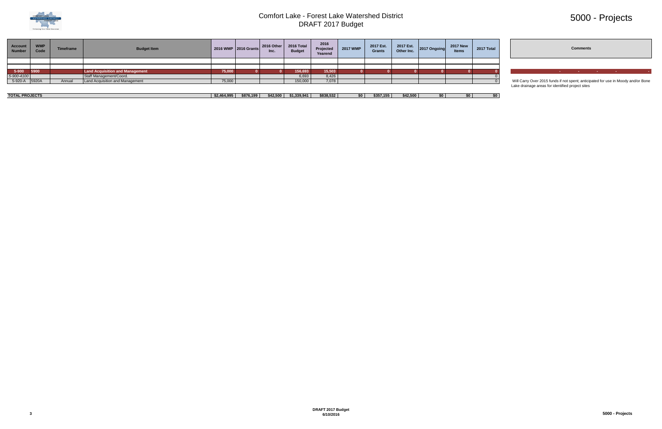

# 5000 - Projects



| Account<br><b>Number</b> | <b>WMP</b><br>Code | <b>Timeframe</b> | <b>Budget Item</b>                     |        | 2016 WMP 2016 Grants | 2016 Other<br>Inc. | 2016 Total<br><b>Budget</b> | 2016<br>Projected<br>Yearend | 2017 WMP | 2017 Est.<br>Grants | 2017 Est.<br>Other Inc. | 2017 Ongoing | <b>2017 New</b><br><b>Items</b> | 2017 Total |                                                                                   |  | <b>Comments</b> |  |  |
|--------------------------|--------------------|------------------|----------------------------------------|--------|----------------------|--------------------|-----------------------------|------------------------------|----------|---------------------|-------------------------|--------------|---------------------------------|------------|-----------------------------------------------------------------------------------|--|-----------------|--|--|
|                          |                    |                  |                                        |        |                      |                    |                             |                              |          |                     |                         |              |                                 |            |                                                                                   |  |                 |  |  |
|                          |                    |                  |                                        |        |                      |                    |                             |                              |          |                     |                         |              |                                 |            |                                                                                   |  |                 |  |  |
| 5-900 5900               |                    |                  | <b>Land Acquisition and Management</b> | 75,000 |                      |                    | 156,693                     | 15,503                       |          |                     |                         |              |                                 |            |                                                                                   |  |                 |  |  |
| 5-900-4100               |                    |                  | Staff Management/Coord.                |        |                      |                    | 6,693                       | 8,426                        |          |                     |                         |              |                                 |            |                                                                                   |  |                 |  |  |
| 5-920-A 5920A            |                    | Annual           | Land Acquisition and Management        | 75,000 |                      |                    | 150,000                     | 7,078                        |          |                     |                         |              |                                 |            | Will Carry Over 2015 funds if not spent; anticipated for use in Moody and/or Bone |  |                 |  |  |
|                          |                    |                  |                                        |        |                      |                    |                             |                              |          |                     |                         |              |                                 |            | Lake drainage areas for identified project sites                                  |  |                 |  |  |

| <b>PROJECTS</b><br><b>TOTAL</b> | AOOF<br>-S2 46<br>------- | \$876.199 | <b>CA2 500</b><br>-942.300 | $-220.041$<br><u>т 4</u><br>.<br>. | \$838,532 | \$35.<br>. | じんつ にいい | \$0 | \$0 |  |
|---------------------------------|---------------------------|-----------|----------------------------|------------------------------------|-----------|------------|---------|-----|-----|--|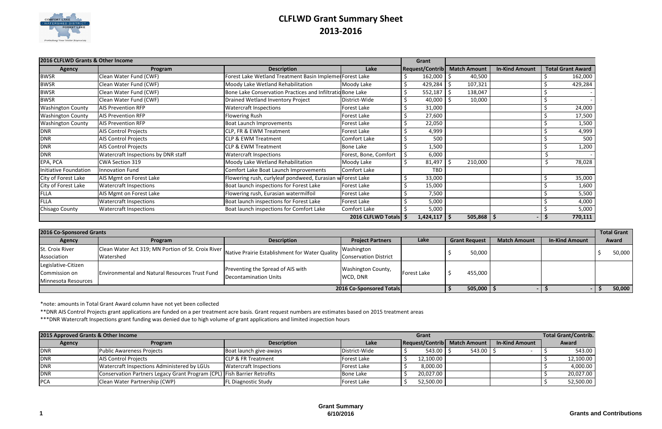

# **CLFLWD Grant Summary Sheet 2013-2016**

|                              | 2016 CLFLWD Grants & Other Income<br><b>Description</b><br>Program<br><b>Agency</b><br>Clean Water Fund (CWF)<br>Clean Water Fund (CWF)<br>Clean Water Fund (CWF)<br>Clean Water Fund (CWF)<br><b>AIS Prevention RFP</b><br><b>Watercraft Inspections</b><br><b>AIS Prevention RFP</b><br><b>Flowering Rush</b><br>Boat Launch Improvements<br><b>AIS Prevention RFP</b> |                                                            |                         | Grant                  |    |                     |                       |                          |
|------------------------------|--------------------------------------------------------------------------------------------------------------------------------------------------------------------------------------------------------------------------------------------------------------------------------------------------------------------------------------------------------------------------|------------------------------------------------------------|-------------------------|------------------------|----|---------------------|-----------------------|--------------------------|
|                              |                                                                                                                                                                                                                                                                                                                                                                          |                                                            | Lake                    | <b>Request/Contrib</b> |    | <b>Match Amount</b> | <b>In-Kind Amount</b> | <b>Total Grant Award</b> |
| <b>BWSR</b>                  |                                                                                                                                                                                                                                                                                                                                                                          | Forest Lake Wetland Treatment Basin Implemer Forest Lake   |                         | 162,000                | -S | 40,500              |                       | 162,000                  |
| <b>BWSR</b>                  |                                                                                                                                                                                                                                                                                                                                                                          | Moody Lake Wetland Rehabilitation                          | Moody Lake              | 429,284                |    | 107,321             |                       | 429,284                  |
| <b>BWSR</b>                  |                                                                                                                                                                                                                                                                                                                                                                          | Bone Lake Conservation Practices and Infiltratid Bone Lake |                         | 552,187                | -S | 138,047             |                       |                          |
| <b>BWSR</b>                  |                                                                                                                                                                                                                                                                                                                                                                          | Drained Wetland Inventory Project                          | District-Wide           | 40,000                 |    | 10,000              |                       |                          |
| <b>Washington County</b>     |                                                                                                                                                                                                                                                                                                                                                                          |                                                            | <b>Forest Lake</b>      | 31,000                 |    |                     |                       | 24,000                   |
| <b>Washington County</b>     |                                                                                                                                                                                                                                                                                                                                                                          |                                                            | <b>Forest Lake</b>      | 27,600                 |    |                     |                       | 17,500                   |
| <b>Washington County</b>     |                                                                                                                                                                                                                                                                                                                                                                          |                                                            | Forest Lake             | 22,050                 |    |                     |                       | 1,500                    |
| <b>DNR</b>                   | <b>AIS Control Projects</b>                                                                                                                                                                                                                                                                                                                                              | <b>CLP, FR &amp; EWM Treatment</b>                         | Forest Lake             | 4,999                  |    |                     |                       | 4,999                    |
| <b>DNR</b>                   | <b>AIS Control Projects</b>                                                                                                                                                                                                                                                                                                                                              | <b>CLP &amp; EWM Treatment</b>                             | <b>Comfort Lake</b>     | 500                    |    |                     |                       | 500                      |
| <b>DNR</b>                   | <b>AIS Control Projects</b>                                                                                                                                                                                                                                                                                                                                              | <b>CLP &amp; EWM Treatment</b>                             | <b>Bone Lake</b>        | 1,500                  |    |                     |                       | 1,200                    |
| <b>DNR</b>                   | Watercraft Inspections by DNR staff                                                                                                                                                                                                                                                                                                                                      | <b>Watercraft Inspections</b>                              | Forest, Bone, Comfort   | 6,000                  |    |                     |                       |                          |
| EPA, PCA                     | CWA Section 319                                                                                                                                                                                                                                                                                                                                                          | Moody Lake Wetland Rehabilitation                          | Moody Lake              | 81,497                 |    | 210,000             |                       | 78,028                   |
| <b>Initiative Foundation</b> | <b>Innovation Fund</b>                                                                                                                                                                                                                                                                                                                                                   | Comfort Lake Boat Launch Improvements                      | <b>Comfort Lake</b>     | <b>TBD</b>             |    |                     |                       |                          |
| City of Forest Lake          | AIS Mgmt on Forest Lake                                                                                                                                                                                                                                                                                                                                                  | Flowering rush, curlyleaf pondweed, Eurasian w Forest Lake |                         | 33,000                 |    |                     |                       | 35,000                   |
| City of Forest Lake          | Watercraft Inspections                                                                                                                                                                                                                                                                                                                                                   | Boat launch inspections for Forest Lake                    | <b>Forest Lake</b>      | 15,000                 |    |                     |                       | 1,600                    |
| <b>FLLA</b>                  | AIS Mgmt on Forest Lake                                                                                                                                                                                                                                                                                                                                                  | Flowering rush, Eurasian watermilfoil                      | Forest Lake             | 7,500                  |    |                     |                       | 5,500                    |
| <b>FLLA</b>                  | <b>Watercraft Inspections</b>                                                                                                                                                                                                                                                                                                                                            | Boat launch inspections for Forest Lake                    | <b>Forest Lake</b>      | 5,000                  |    |                     |                       | 4,000                    |
| Chisago County               | <b>Watercraft Inspections</b>                                                                                                                                                                                                                                                                                                                                            | Boat launch inspections for Comfort Lake                   | Comfort Lake            | 5,000                  |    |                     |                       | 5,000                    |
|                              |                                                                                                                                                                                                                                                                                                                                                                          |                                                            | 2016 CLFLWD Totals   \$ | $1,424,117$   \$       |    | 505,868             | - S                   | 770,111                  |

\*note: amounts in Total Grant Award column have not yet been collected

\*\*DNR AIS Control Projects grant applications are funded on a per treatment acre basis. Grant request numbers are estimates based on 2015 treatment areas

| 2016 Co-Sponsored Grants |                                                       |                                                                        |                          |             |                      |                     |                       |        |  |  |  |
|--------------------------|-------------------------------------------------------|------------------------------------------------------------------------|--------------------------|-------------|----------------------|---------------------|-----------------------|--------|--|--|--|
| <b>Agency</b>            | Program                                               | <b>Description</b>                                                     | <b>Project Partners</b>  | Lake        | <b>Grant Request</b> | <b>Match Amount</b> | <b>In-Kind Amount</b> | Award  |  |  |  |
| St. Croix River          | Clean Water Act 319; MN Portion of St. Croix River    |                                                                        | Washington               |             |                      |                     |                       | 50,000 |  |  |  |
| Association              | Watershed                                             | Native Prairie Establishment for Water Quality Conservation District I |                          |             | 50,000               |                     |                       |        |  |  |  |
| Legislative-Citizen      |                                                       |                                                                        |                          |             |                      |                     |                       |        |  |  |  |
| Commission on            | <b>Environmental and Natural Resources Trust Fund</b> | Preventing the Spread of AIS with                                      | Washington County,       | Forest Lake | 455,000              |                     |                       |        |  |  |  |
| Minnesota Resources      |                                                       | Decontamination Units                                                  | WCD, DNR                 |             |                      |                     |                       |        |  |  |  |
|                          |                                                       |                                                                        | 2016 Co-Sponsored Totals |             | $505,000$   \$       |                     |                       | 50,000 |  |  |  |

\*\*\*DNR Watercraft Inspections grant funding was denied due to high volume of grant applications and limited inspection hours

| 2015 Approved Grants & Other Income |                                                                         |                               | <b>Total Grant/Contrib.</b> |                              |            |                       |  |           |
|-------------------------------------|-------------------------------------------------------------------------|-------------------------------|-----------------------------|------------------------------|------------|-----------------------|--|-----------|
| <b>Agency</b>                       | <b>Program</b>                                                          | <b>Description</b>            | Lake                        | Request/Contrib Match Amount |            | <b>In-Kind Amount</b> |  | Award     |
| <b>DNR</b>                          | <b>Public Awareness Projects</b>                                        | Boat launch give-aways        | District-Wide               | $543.00$   \$                | $543.00$ S |                       |  | 543.00    |
| <b>DNR</b>                          | <b>AIS Control Projects</b>                                             | <b>CLP &amp; FR Treatment</b> | Forest Lake                 | 12,100.00                    |            |                       |  | 12,100.00 |
| <b>DNR</b>                          | Watercraft Inspections Administered by LGUs                             | <b>Watercraft Inspections</b> | <b>Forest Lake</b>          | 8,000.00                     |            |                       |  | 4,000.00  |
| <b>DNR</b>                          | Conservation Partners Legacy Grant Program (CPL) Fish Barrier Retrofits |                               | Bone Lake                   | 20,027.00                    |            |                       |  | 20,027.00 |
| <b>PCA</b>                          | Clean Water Partnership (CWP)                                           | <b>FL Diagnostic Study</b>    | Forest Lake                 | 52,500.00                    |            |                       |  | 52,500.00 |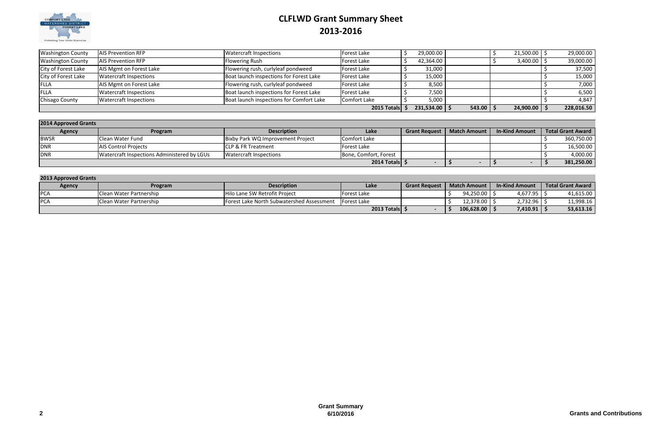

# **CLFLWD Grant Summary Sheet 2013-2016**

| <b>Washington County</b> | <b>AIS Prevention RFP</b>     | Watercraft Inspections                   | Forest Lake        | 29,000.00  |               | 21,500.00 | 29,000.00  |
|--------------------------|-------------------------------|------------------------------------------|--------------------|------------|---------------|-----------|------------|
| <b>Washington County</b> | <b>AIS Prevention RFP</b>     | <b>Flowering Rush</b>                    | <b>Forest Lake</b> | 42,364.00  |               | 3,400.00  | 39,000.00  |
| City of Forest Lake      | AIS Mgmt on Forest Lake       | Flowering rush, curlyleaf pondweed       | Forest Lake        | 31,000     |               |           | 37,500     |
| City of Forest Lake      | <b>Watercraft Inspections</b> | Boat launch inspections for Forest Lake  | Forest Lake        | 15,000     |               |           | 15,000     |
| <b>FLLA</b>              | AIS Mgmt on Forest Lake       | Flowering rush, curlyleaf pondweed       | Forest Lake        | 8,500      |               |           | 7,000      |
| <b>FLLA</b>              | <b>Watercraft Inspections</b> | Boat launch inspections for Forest Lake  | Forest Lake        | 7,500      |               |           | 6,500      |
| Chisago County           | <b>Watercraft Inspections</b> | Boat launch inspections for Comfort Lake | Comfort Lake       | 5,000      |               |           | 4,847      |
|                          |                               |                                          | 2015 Totals        | 231,534.00 | $543.00$   \$ | 24,900.00 | 228,016.50 |

| 2014 Approved Grants |                                             |                                   |                       |                      |                     |                       |                          |  |  |  |  |  |
|----------------------|---------------------------------------------|-----------------------------------|-----------------------|----------------------|---------------------|-----------------------|--------------------------|--|--|--|--|--|
| <b>Agency</b>        | Program                                     | <b>Description</b>                | Lake                  | <b>Grant Request</b> | <b>Match Amount</b> | <b>In-Kind Amount</b> | <b>Total Grant Award</b> |  |  |  |  |  |
| <b>BWSR</b>          | Clean Water Fund                            | Bixby Park WQ Improvement Project | Comfort Lake          |                      |                     |                       | 360,750.00               |  |  |  |  |  |
| <b>DNR</b>           | <b>AIS Control Projects</b>                 | <b>ICLP &amp; FR Treatment</b>    | lForest Lake          |                      |                     |                       | 16,500.00                |  |  |  |  |  |
| <b>DNR</b>           | Watercraft Inspections Administered by LGUs | Watercraft Inspections            | Bone, Comfort, Forest |                      |                     |                       | 4,000.00                 |  |  |  |  |  |
|                      |                                             |                                   | 2014 Totals   9       |                      |                     |                       | 381,250.00               |  |  |  |  |  |

| <b>2013 Approved Grants</b> |                                 |                                                  |              |                      |                     |                       |                          |  |  |  |  |
|-----------------------------|---------------------------------|--------------------------------------------------|--------------|----------------------|---------------------|-----------------------|--------------------------|--|--|--|--|
| <b>Agency</b>               | <b>Program</b>                  | <b>Description</b>                               | Lake         | <b>Grant Request</b> | <b>Match Amount</b> | <b>In-Kind Amount</b> | <b>Total Grant Award</b> |  |  |  |  |
| <b>PCA</b>                  | <b>IClean Water Partnership</b> | Hilo Lane SW Retrofit Project                    | Forest Lake  |                      | 94,250.00           | 4,677.95              | 41,615.00                |  |  |  |  |
| <b>PCA</b>                  | <b>IClean Water Partnership</b> | <b>Forest Lake North Subwatershed Assessment</b> | lForest Lake |                      | 12,378.00           | 2,732.96              | 11,998.16                |  |  |  |  |
|                             |                                 |                                                  | 2013 Totals  |                      | 106,628.00          | 7,410.91              | 53,613.16                |  |  |  |  |